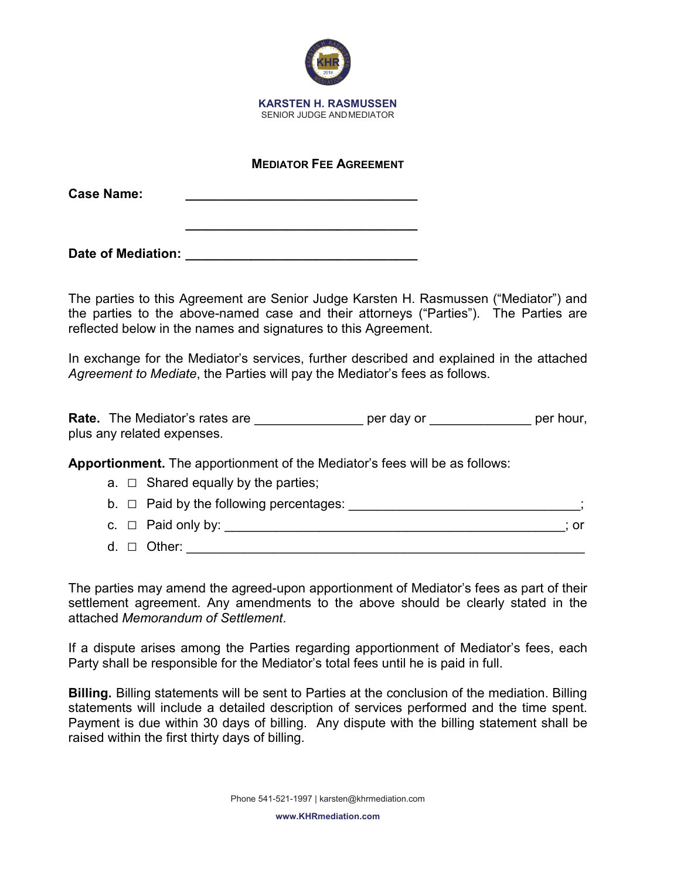

## **MEDIATOR FEE AGREEMENT**

**\_\_\_\_\_\_\_\_\_\_\_\_\_\_\_\_\_\_\_\_\_\_\_\_\_\_\_\_\_\_\_\_**

| <b>Case Name:</b> |  |
|-------------------|--|
|                   |  |

Date of Mediation: **Date of Mediation:** 

The parties to this Agreement are Senior Judge Karsten H. Rasmussen ("Mediator") and the parties to the above-named case and their attorneys ("Parties"). The Parties are reflected below in the names and signatures to this Agreement.

In exchange for the Mediator's services, further described and explained in the attached *Agreement to Mediate*, the Parties will pay the Mediator's fees as follows.

**Rate.** The Mediator's rates are \_\_\_\_\_\_\_\_\_\_\_\_\_\_\_\_\_ per day or \_\_\_\_\_\_\_\_\_\_\_\_\_\_\_ per hour, plus any related expenses.

**Apportionment.** The apportionment of the Mediator's fees will be as follows:

 $a. \Box$  Shared equally by the parties;

|  | $b. \Box$ Paid by the following percentages: |  |
|--|----------------------------------------------|--|
|  | c. $\Box$ Paid only by:                      |  |

d. □ Other:  $\Box$ 

The parties may amend the agreed-upon apportionment of Mediator's fees as part of their settlement agreement. Any amendments to the above should be clearly stated in the attached *Memorandum of Settlement*.

If a dispute arises among the Parties regarding apportionment of Mediator's fees, each Party shall be responsible for the Mediator's total fees until he is paid in full.

**Billing.** Billing statements will be sent to Parties at the conclusion of the mediation. Billing statements will include a detailed description of services performed and the time spent. Payment is due within 30 days of billing. Any dispute with the billing statement shall be raised within the first thirty days of billing.

**www.KHRmediation.com**